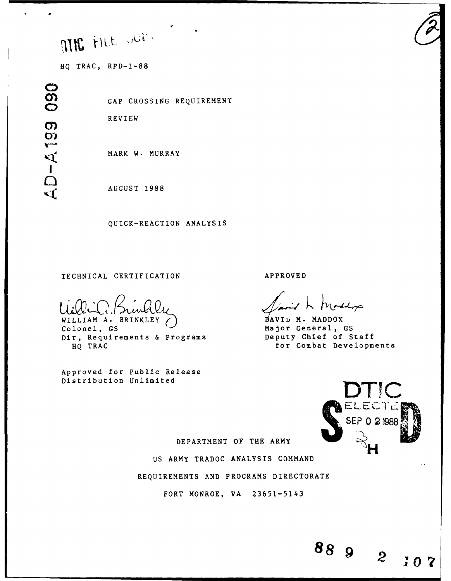# MR FILL WE

**HQ** TRAC, RPD-1-88

090 **0) I**  $\Omega$ 

**o0** GAP CROSSING REQUIREMENT

REVIEW

MARK W. MURRAY

AUGUST 1988

QUICK-REACTION ANALYSIS

# TECHNICAL CERTIFICATION APPROVED

WILLIAM A. BRINKLEY () MAVID M. MADDOX<br>Colonel, GS Major General, Dir, Requirements & Programs<br>HO TRAC

Approved for Public Release Distribution Unlimited

Adop

Major General, GS<br>Deputy Chief of Staff for Combat Developments



 $\mathbf{2}$ 

 $10<sup>1</sup>$ 

DEPARTMENT OF THE ARMY

US ARMY TRADOC ANALYSIS COMMAND

REQUIREMENTS AND PROGRAMS DIRECTORATE

FORT MONROE, VA 23651-5143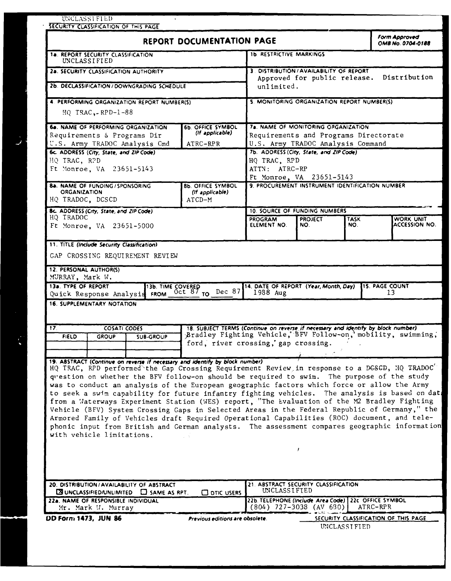| UNCLASSIFIED<br>SECURITY CLASSIFICATION OF THIS PAGE                                                                                                                                                                                                                                                                                                                                                                                                                                                                                                                                                                                                                                                                                                                                                                      |                                                                                   |                                                                                                                                                              |                                                      |             |                                                              |
|---------------------------------------------------------------------------------------------------------------------------------------------------------------------------------------------------------------------------------------------------------------------------------------------------------------------------------------------------------------------------------------------------------------------------------------------------------------------------------------------------------------------------------------------------------------------------------------------------------------------------------------------------------------------------------------------------------------------------------------------------------------------------------------------------------------------------|-----------------------------------------------------------------------------------|--------------------------------------------------------------------------------------------------------------------------------------------------------------|------------------------------------------------------|-------------|--------------------------------------------------------------|
|                                                                                                                                                                                                                                                                                                                                                                                                                                                                                                                                                                                                                                                                                                                                                                                                                           | REPORT DOCUMENTATION PAGE                                                         |                                                                                                                                                              |                                                      |             | <b>Form Approved</b><br>OMB No. 0704-0188                    |
| 1a. REPORT SECURITY CLASSIFICATION<br>UNCLASSIFIED                                                                                                                                                                                                                                                                                                                                                                                                                                                                                                                                                                                                                                                                                                                                                                        |                                                                                   | <b>1b. RESTRICTIVE MARKINGS</b>                                                                                                                              |                                                      |             |                                                              |
| 2a. SECURITY CLASSIFICATION AUTHORITY                                                                                                                                                                                                                                                                                                                                                                                                                                                                                                                                                                                                                                                                                                                                                                                     |                                                                                   |                                                                                                                                                              | 3. DISTRIBUTION / AVAILABILITY OF REPORT             |             | Distribution                                                 |
| 2b. DECLASSIFICATION / DOWNGRADING SCHEDULE                                                                                                                                                                                                                                                                                                                                                                                                                                                                                                                                                                                                                                                                                                                                                                               |                                                                                   | Approved for public release.<br>unlimited.                                                                                                                   |                                                      |             |                                                              |
| 4. PERFORMING ORGANIZATION REPORT NUMBER(S)<br>$HO$ TRAC $-RPD-1-88$                                                                                                                                                                                                                                                                                                                                                                                                                                                                                                                                                                                                                                                                                                                                                      |                                                                                   | 5. MONITORING ORGANIZATION REPORT NUMBER(S)                                                                                                                  |                                                      |             |                                                              |
| 6a. NAME OF PERFORMING ORGANIZATION<br>Requirements & Programs Dir<br>U.S. Army TRADOC Analysis Cmd<br>6c. ADDRESS (City, State, and ZIP Code)                                                                                                                                                                                                                                                                                                                                                                                                                                                                                                                                                                                                                                                                            | <b>6b. OFFICE SYMBOL</b><br>(If applicable)<br>ATRC-RPR                           | 7a. NAME OF MONITORING ORGANIZATION<br>Requirements and Programs Directorate<br>U.S. Army TRADOC Analysis Command<br>7b. ADDRESS (City, State, and ZIP Code) |                                                      |             |                                                              |
| HQ TRAC, RPD<br>Ft Monroe, VA 23651-5143                                                                                                                                                                                                                                                                                                                                                                                                                                                                                                                                                                                                                                                                                                                                                                                  |                                                                                   | HQ TRAC, RPD<br>ATTN: ATRC-RP                                                                                                                                | Ft Monroe, VA 23651-5143                             |             |                                                              |
| <b>8a. NAME OF FUNDING / SPONSORING</b><br><b>ORGANIZATION</b><br>HQ TRADOC, DCSCD                                                                                                                                                                                                                                                                                                                                                                                                                                                                                                                                                                                                                                                                                                                                        | <b>8b. OFFICE SYMBOL</b><br>(If applicable)<br>ATCD-M                             | 9. PROCUREMENT INSTRUMENT IDENTIFICATION NUMBER                                                                                                              |                                                      |             |                                                              |
| 8c. ADDRESS (City, State, and ZIP Code)                                                                                                                                                                                                                                                                                                                                                                                                                                                                                                                                                                                                                                                                                                                                                                                   |                                                                                   |                                                                                                                                                              | 10. SOURCE OF FUNDING NUMBERS                        |             |                                                              |
| HQ TRADOC<br>Ft Monroe, VA 23651-5000                                                                                                                                                                                                                                                                                                                                                                                                                                                                                                                                                                                                                                                                                                                                                                                     |                                                                                   | <b>PROGRAM</b><br>ELEMENT NO.                                                                                                                                | <b>PROJECT</b><br>NO.                                | TASK<br>NO. | WORK UNIT<br><b>ACCESSION NO.</b>                            |
| 12. PERSONAL AUTHOR(S)<br>MURRAY, Mark W.<br>13a. TYPE OF REPORT<br>13a. TYPE OF REPORT 13b. TIME COVERED<br>Quick Response Analysis FROM 0ct 87 TO Dec 87<br><b>16. SUPPLEMENTARY NOTATION</b><br>17.<br><b>COSATI CODES</b>                                                                                                                                                                                                                                                                                                                                                                                                                                                                                                                                                                                             | 18. SUBJECT TERMS (Continue on reverse if necessary and identify by block number) | 1988 Aug                                                                                                                                                     | 14. DATE OF REPORT (Year, Month, Day)                |             | <b>115. PAGE COUNT</b><br>13                                 |
| <b>FIELD</b><br><b>GROUP</b><br><b>SUB-GROUP</b><br>19. ABSTRACT (Continue on reverse if necessary and identify by block number)                                                                                                                                                                                                                                                                                                                                                                                                                                                                                                                                                                                                                                                                                          | ford, river crossing, gap crossing.                                               |                                                                                                                                                              |                                                      |             | Bradley Fighting Vehicle, BFV Follow-on, mobility, swimming, |
| HQ TRAC, RPD performed the Gap Crossing Requirement Review in response to a DGSCD, HQ TRADOC<br>question on whether the BFV follow-on should be required to swim. The purpose of the study<br>was to conduct an analysis of the European geographic factors which force or allow the Army<br>to seek a swim capability for future infantry fighting vehicles. The analysis is based on dat<br>from a Materways Experiment Station (WES) report, "The Evaluation of the M2 Bradley Fighting<br>Vehicle (BFV) System Crossing Gaps in Selected Areas in the Federal Republic of Germany," the<br>Armored Family of Vehicles draft Required Operational Capabilities (ROC) document, and tele-<br>phonic input from British and German analysts. The assessment compares geographic information<br>with vehicle limitations. |                                                                                   |                                                                                                                                                              |                                                      |             |                                                              |
| 20. DISTRIBUTION/AVAILABILITY OF ABSTRACT                                                                                                                                                                                                                                                                                                                                                                                                                                                                                                                                                                                                                                                                                                                                                                                 |                                                                                   |                                                                                                                                                              | 21. ABSTRACT SECURITY CLASSIFICATION                 |             |                                                              |
| <b>EX UNCLASSIFIED/UNLIMITED</b><br>$\Box$ SAME AS RPT.<br>22a. NAME OF RESPONSIBLE INDIVIDUAL                                                                                                                                                                                                                                                                                                                                                                                                                                                                                                                                                                                                                                                                                                                            | <b>CO DTIC USERS</b>                                                              | UNCLASSIFIED                                                                                                                                                 | 22b. TELEPHONE (Include Area Code) 22c OFFICE SYMBOL |             |                                                              |
| Mr. Mark U. Murray                                                                                                                                                                                                                                                                                                                                                                                                                                                                                                                                                                                                                                                                                                                                                                                                        |                                                                                   |                                                                                                                                                              | $(804)$ 727-3038 (AV 630)                            |             | ATRC-RPR                                                     |
| DD Form 1473, JUN 86<br>Previous editions are obsolete.<br>SECURITY CLASSIFICATION OF THIS PAGE<br>UNCLASSIFIED                                                                                                                                                                                                                                                                                                                                                                                                                                                                                                                                                                                                                                                                                                           |                                                                                   |                                                                                                                                                              |                                                      |             |                                                              |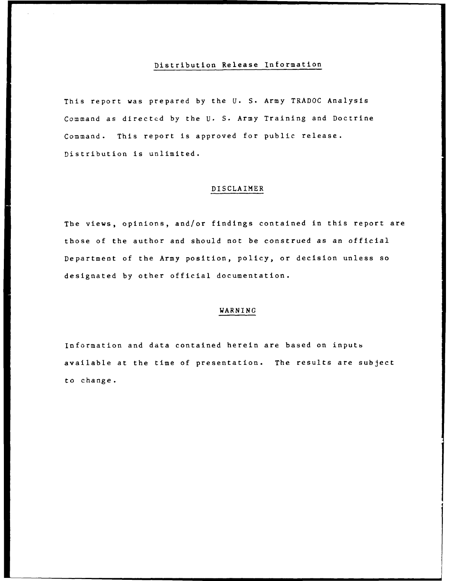# Distribution Release Information

This report was prepared by the U. S. Army TRADOC Analysis Command as directed by the U. S. Army Training and Doctrine Command. This report is approved for public release. Distribution is unlimited.

# DISCLAIMER

The views, opinions, and/or findings contained in this report are those of the author and should not be construed as an official Department of the Army position, policy, or decision unless so designated by other official documentation.

## **WARNING**

Information and data contained herein are based on inputs available at the time of presentation. The results are subject to change.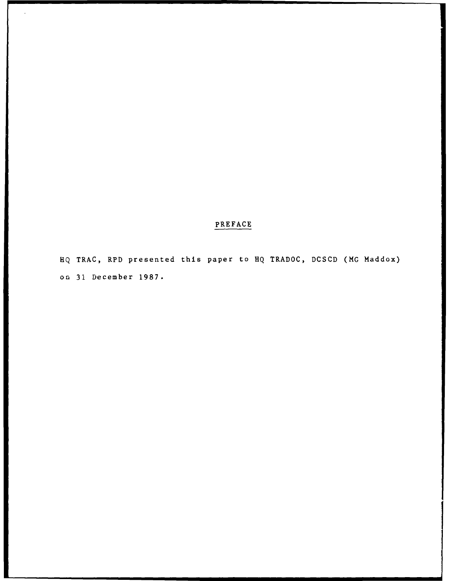# PREFACE

**HQ** TRAC, RPD presented this paper to HQ TRADOC, DCSCD (MG Maddox) on 31 December 1987.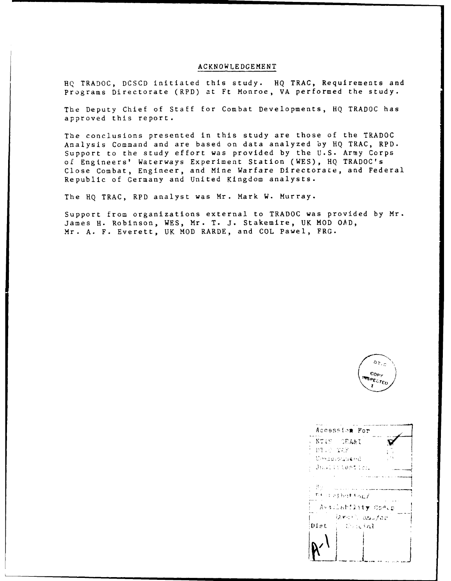# ACKNOWLEDGEMENT

**HQ** TRADOC, DCSCD initiated this study. HQ TRAC, Requirements and Programs Directorate (RPD) at Ft Monroe, VA performed the study.

The Deputy Chief of Staff for Combat Developments, HQ TRADOC has approved this report.

The conclusions presented in this study are those of the TRADOC Analysis Command and are based on data analyzed by HQ TRAC, RPD. Support to the study effort was provided by the U.S. Army Corps of Engineers' Waterways Experiment Station (WES), **HQ** TRADOC's Close Combat, Engineer, and Mine Warfare Directorate, and Federal Republic of Germany and United Kingdom analysts.

The HQ TRAC, RPD analyst was Mr. Mark W. Murray.

Support from organizations external to TRADOC was provided by Mr. James H. Robinson, WES, Mr. T. J. Stakemire, UK MOD OAD, Mr. A. F. Everett, UK MOD RARDE, and COL Pawel, FRG.



|          | Accession For         |  |
|----------|-----------------------|--|
|          | NTIS GRA&I            |  |
| DIAS TAP |                       |  |
|          | Unsculptionend        |  |
|          | Justintesten          |  |
|          |                       |  |
| -15 y    |                       |  |
|          | Fit it eithink fing / |  |
|          | Avsilability Conce    |  |
|          | larish adular         |  |
| Diet     | - Unicial             |  |
|          |                       |  |
|          |                       |  |
|          |                       |  |
|          |                       |  |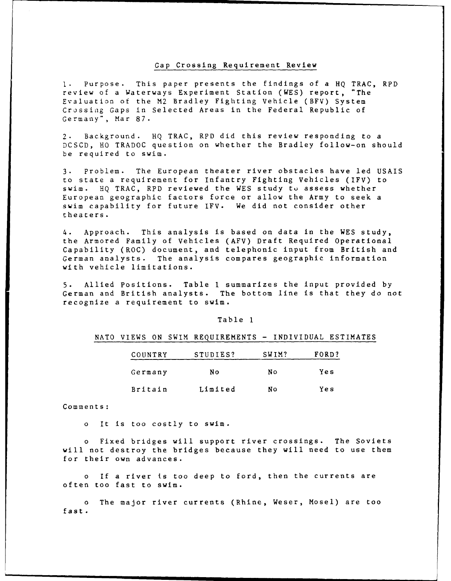#### Gap Crossing Requirement Review

I. Purpose. This paper presents the findings of a HQ TRAC, RPD review of a Waterways Experiment Station (WES) report, "The Evaluation of the M2 Bradley Fighting Vehicle (BFV) System Crossiag Gaps in Selected Areas in the Federal Republic of Germany", Mar 87.

2. Background. HQ TRAC, RPD did this review responding to a DCSCD, HO TRADOC question on whether the Bradley follow-on should be required to swim.

3. Problem. The European theater river obstacles have led USAIS to state a requirement for Infantry Fighting Vehicles (IFV) to swim. HQ TRAC, RPD reviewed the WES study to assess whether European geographic factors force or allow the Army to seek a swim capability for future IFV. We did not consider other theaters.

4. Approach. This analysis is based on data in the WES study, the Armored Family of Vehicles (AFV) Draft Required Operational Capability (ROC) document, and telephonic input from British and German analysts. The analysis compares geographic information with vehicle limitations.

5. Allied Positions. Table **I** summarizes the input provided by German and British analysts. The bottom line is that they do not recognize a requirement to swim.

#### Table **I**

#### NATO VIEWS ON SWIM REQUIREMENTS **-** INDIVIDUAL ESTIMATES

| COUNTRY | STUDIES? | SWIM? | FORD? |
|---------|----------|-------|-------|
| Germany | Nο       | N 0   | Yes   |
| Britain | Limited  | NΟ    | Ye s  |

#### Comments:

o It is too costly to swim.

o Fixed bridges will support river crossings. The Soviets will not destroy the bridges because they will need to use them for their own advances.

o If a river is too deep to ford, then the currents are often too fast to swim.

o The major river currents (Rhine, Weser, Mosel) are too fast.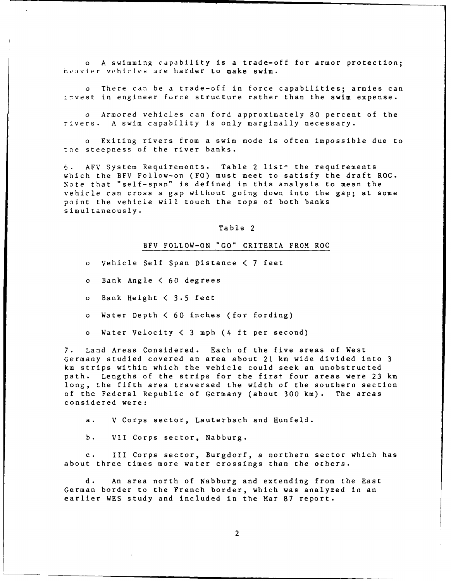o A swimming capability is a trade-off for armor protection; heavier vehicles are harder to make swim.

o There can be a trade-off in force capabilities; armies can invest in engineer furce structure rather than the swim expense.

o Armored vehicles can ford approximately 80 percent of the rivers. A swim capability is only marginally necessary.

o Exiting rivers from a swim mode is often impossible due to the steepness of the river banks.

6. AFV System Requirements. Table 2 list- the requirements which the BFV Follow-on (FO) must meet to satisfy the draft ROC. Note that "self-span" is defined in this analysis to mean the vehicle can cross a gap without going down into the gap; at some point the vehicle will touch the tops of both banks simultaneously.

#### Table 2

### BFV FOLLOW-ON "GO" CRITERIA FROM ROC

o Vehicle Self Span Distance **<** 7 feet

- o Bank Angle **<** 60 degrees
- o Bank Height < 3.5 feet
- o Water Depth **<** 60 inches (for fording)
- o Water Velocity **<** 3 mph (4 ft per second)

7. Land Areas Considered. Each of the five areas of West Germany studied covered an area about 21 km wide divided into 3 km strips within which the vehicle could seek an unobstructed path. Lengths of the strips for the first four areas were 23 km long, the fifth area traversed the width of the southern section of the Federal Republic of Germany (about 300 km). The areas considered were:

a. V Corps sector, Lauterbach and Hunfeld.

b. VII Corps sector, Nabburg.

III Corps sector, Burgdorf, a northern sector which has about three times more water crossings than the others.

d. An area north of Nabburg and extending from the East German border to the French border, which was analyzed in an earlier WES study and included in the Mar **87** report.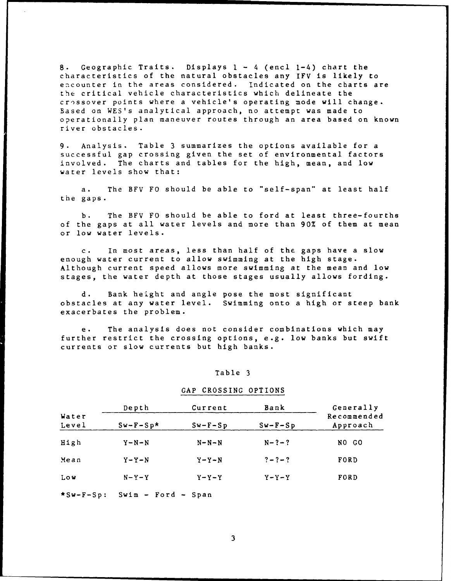**8.** Geographic Traits. Displays **1** - 4 (encl 1-4) chart the characteristics of the natural obstacles any IFV is likely to encounter in the areas considered. Indicated on the charts are the critical vehicle characteristics which delineate the crossover points where a vehicle's operating mode will change. Based on WES's analytical approach, no attempt was made to operationally plan maneuver routes through an area based on known river obstacles.

9. Analysis. Table 3 summarizes the options available for a successful gap crossing given the set of environmental factors involved. The charts and tables for the high, mean, and low water levels show that:

a. The BFV FO should be able to "self-span" at least half the gaps.

b. The BFV FO should be able to ford at least three-fourths of the gaps at all water levels and more than 90% of them at mean or low water levels.

c. In most areas, less than half of the gaps have a slow enough water current to allow swimming at the high stage. Although current speed allows more swimming at the mean and low stages, the water depth at those stages usually allows fording.

d. Bank height and angle pose the most significant obstacles at any water level. Swimming onto a high or steep bank exacerbates the problem.

e. The analysis does not consider combinations which may further restrict the crossing options, e.g. low banks but swift currents or slow currents but high banks.

#### Table 3

#### GAP CROSSING OPTIONS

|                | Depth                | Current     | Bank        | Generally               |
|----------------|----------------------|-------------|-------------|-------------------------|
| Water<br>Level | $Sw-F-Sp*$           | $Sw-F-Sp$   | $Sw-F-Sp$   | Recommended<br>Approach |
| High           | $Y-N-N$              | $N - N - N$ | $N - ? - ?$ | NO GO                   |
| Mean           | $Y - Y - N$          | $Y - Y - N$ | $? - ? - ?$ | FORD                    |
| Low            | $N-Y-Y$              | $Y - Y - Y$ | $Y - Y - Y$ | FORD                    |
| $*sw-F-Sp:$    | $Swim$ - Ford - Span |             |             |                         |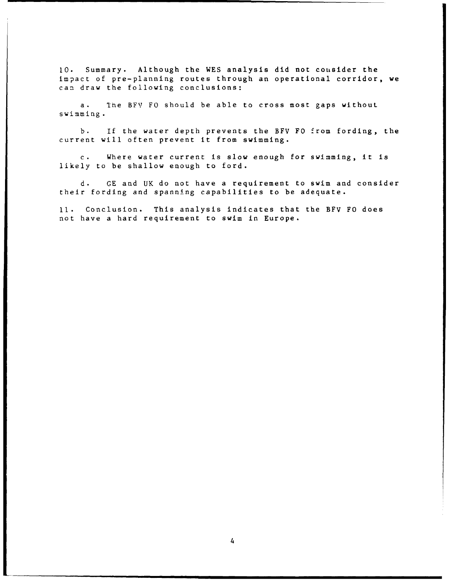**10.** Summary. Although the WES analysis did not consider the impact of pre-planning routes through an operational corridor, we can draw the following conclusions:

a. 1he BFV FO should be able to cross most gaps without swimming.

b. If the water depth prevents the BFV FO from fording, the current will often prevent it from swimming.

c. Where water current is slow enough for swimming, it is likely to be shallow enough to ford.

d. GE and UK do not have a requirement to swim and consider their fording and spanning capabilities to be adequate.

**11.** Conclusion. This analysis indicates that the BFV FO does not have a hard requirement to swim in Europe.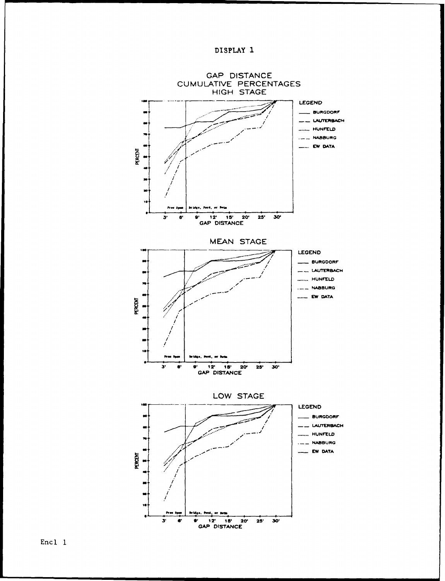



Encl 1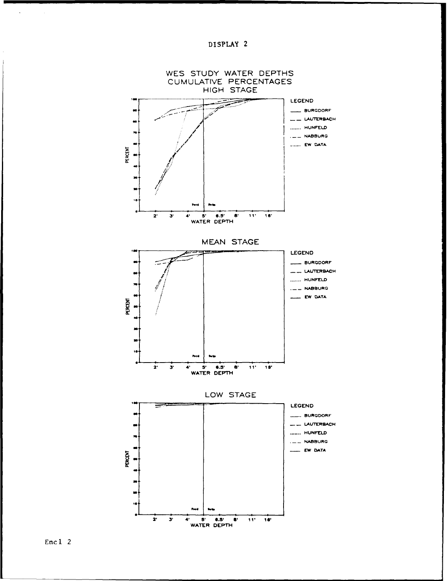



 $\sim$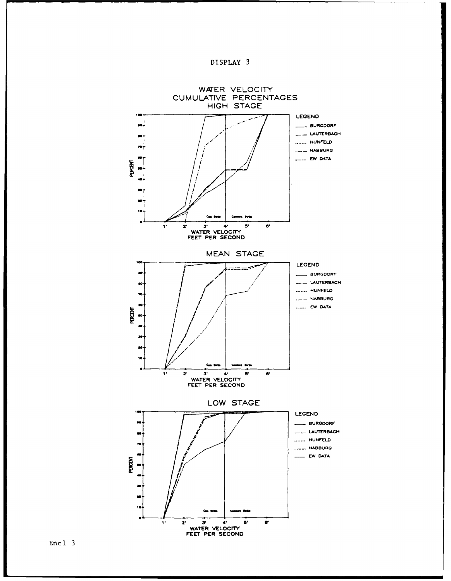



**Encl 3**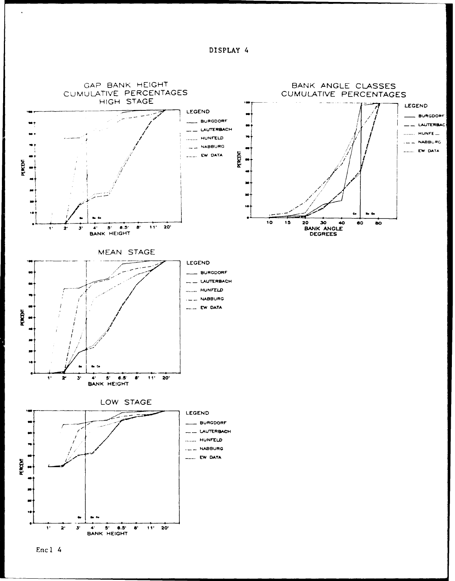DISPLAY 4



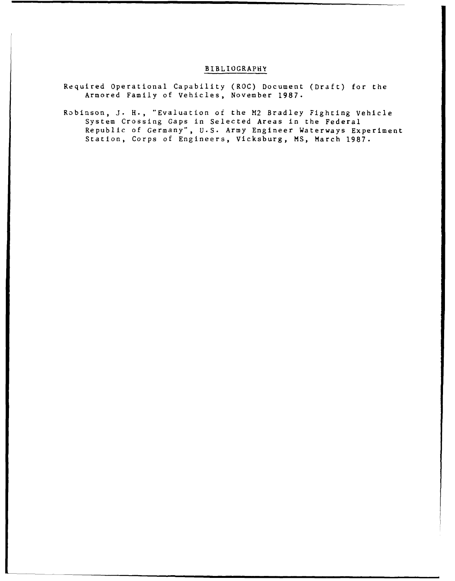# BIBLIOGRAPHY

- Required Operational Capability (ROC) Document (Draft) for the Armored Family of Vehicles, November 1987.
- Robinson, J. H., "Evaluation of the M2 Bradley Fighting Vehicle System Crossing Gaps in Selected Areas in the Federal Republic of Germany", U.S. Army Engineer Waterways Experiment Station, Corps of Engineers, Vicksburg, MS, March 1987.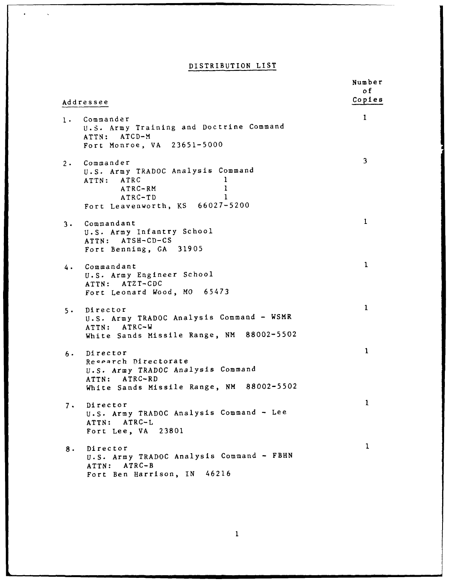# DISTRIBUTION LIST

 $\ddot{\phantom{a}}$ 

 $\bar{\mathcal{A}}$ 

| Addressee                                                                                                                                             | Number<br>o f<br>Copies |
|-------------------------------------------------------------------------------------------------------------------------------------------------------|-------------------------|
| 1. Commander<br>U.S. Army Training and Doctrine Command<br>ATTN: ATCD-M<br>Fort Monroe, VA 23651-5000                                                 | 1                       |
| 2. Commander<br>U.S. Army TRADOC Analysis Command<br>1<br>ATRC<br>ATTN:<br>$\mathbf{I}$<br>ATRC-RM<br>1<br>ATRC-TD<br>Fort Leavenworth, KS 66027-5200 | $\overline{\mathbf{3}}$ |
| 3. Commandant<br>U.S. Army Infantry School<br>ATTN: ATSH-CD-CS<br>Fort Benning, GA 31905                                                              | 1                       |
| Commandant<br>4.<br>U.S. Army Engineer School<br>ATTN: ATZT-CDC<br>Fort Leonard Wood, MO 65473                                                        | $\mathbf 1$             |
| Director<br>$5 \cdot$<br>U.S. Army TRADOC Analysis Command - WSMR<br>ATTN: ATRC-W<br>White Sands Missile Range, NM 88002-5502                         | $\mathbf{1}$            |
| Director<br>$6 \cdot$<br>Research Directorate<br>U.S. Army TRADOC Analysis Command<br>ATTN: ATRC-RD<br>White Sands Missile Range, NM 88002-5502       | $\mathbf{1}$            |
| Director<br>$7 \cdot$<br>U.S. Army TRADOC Analysis Command - Lee<br>ATRC-L<br>ATTN:<br>Fort Lee, VA 23801                                             | 1                       |
| Director<br>8.<br>U.S. Army TRADOC Analysis Command - FBHN<br>$ATRC-B$<br>ATTN:<br>Fort Ben Harrison, IN 46216                                        | 1                       |